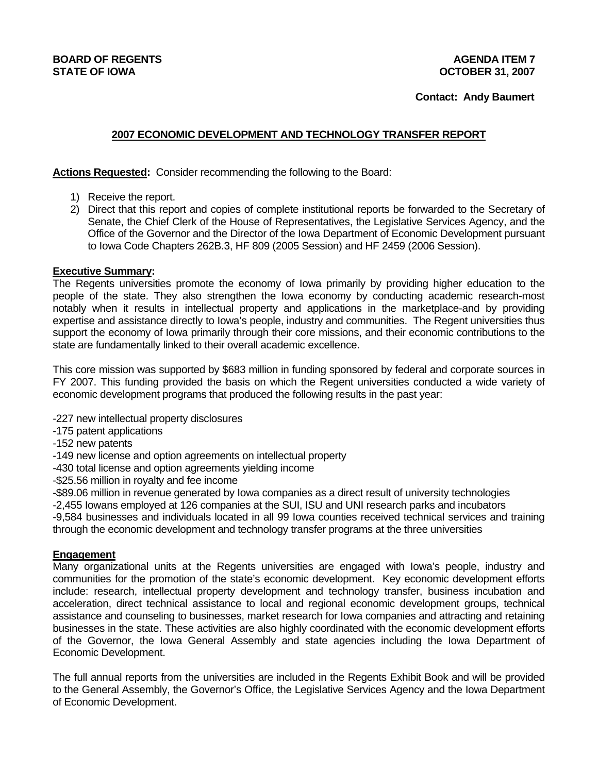### **BOARD OF REGENTS AGENTS AGENERATION CONTROL STATE OF IOWA OCTOBER 31, 2007**

### **Contact: Andy Baumert**

# **2007 ECONOMIC DEVELOPMENT AND TECHNOLOGY TRANSFER REPORT**

**Actions Requested:** Consider recommending the following to the Board:

- 1) Receive the report.
- 2) Direct that this report and copies of complete institutional reports be forwarded to the Secretary of Senate, the Chief Clerk of the House of Representatives, the Legislative Services Agency, and the Office of the Governor and the Director of the Iowa Department of Economic Development pursuant to Iowa Code Chapters 262B.3, HF 809 (2005 Session) and HF 2459 (2006 Session).

### **Executive Summary:**

The Regents universities promote the economy of Iowa primarily by providing higher education to the people of the state. They also strengthen the Iowa economy by conducting academic research-most notably when it results in intellectual property and applications in the marketplace-and by providing expertise and assistance directly to Iowa's people, industry and communities. The Regent universities thus support the economy of Iowa primarily through their core missions, and their economic contributions to the state are fundamentally linked to their overall academic excellence.

This core mission was supported by \$683 million in funding sponsored by federal and corporate sources in FY 2007. This funding provided the basis on which the Regent universities conducted a wide variety of economic development programs that produced the following results in the past year:

- -227 new intellectual property disclosures
- -175 patent applications
- -152 new patents
- -149 new license and option agreements on intellectual property
- -430 total license and option agreements yielding income
- -\$25.56 million in royalty and fee income
- -\$89.06 million in revenue generated by Iowa companies as a direct result of university technologies

-2,455 Iowans employed at 126 companies at the SUI, ISU and UNI research parks and incubators

-9,584 businesses and individuals located in all 99 Iowa counties received technical services and training through the economic development and technology transfer programs at the three universities

## **Engagement**

Many organizational units at the Regents universities are engaged with Iowa's people, industry and communities for the promotion of the state's economic development. Key economic development efforts include: research, intellectual property development and technology transfer, business incubation and acceleration, direct technical assistance to local and regional economic development groups, technical assistance and counseling to businesses, market research for Iowa companies and attracting and retaining businesses in the state. These activities are also highly coordinated with the economic development efforts of the Governor, the Iowa General Assembly and state agencies including the Iowa Department of Economic Development.

The full annual reports from the universities are included in the Regents Exhibit Book and will be provided to the General Assembly, the Governor's Office, the Legislative Services Agency and the Iowa Department of Economic Development.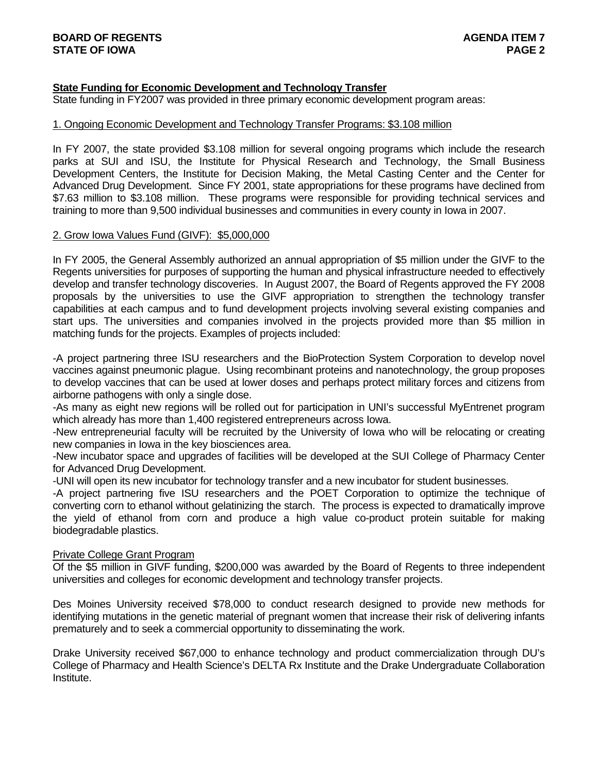### **State Funding for Economic Development and Technology Transfer**

State funding in FY2007 was provided in three primary economic development program areas:

#### 1. Ongoing Economic Development and Technology Transfer Programs: \$3.108 million

In FY 2007, the state provided \$3.108 million for several ongoing programs which include the research parks at SUI and ISU, the Institute for Physical Research and Technology, the Small Business Development Centers, the Institute for Decision Making, the Metal Casting Center and the Center for Advanced Drug Development. Since FY 2001, state appropriations for these programs have declined from \$7.63 million to \$3.108 million. These programs were responsible for providing technical services and training to more than 9,500 individual businesses and communities in every county in Iowa in 2007.

#### 2. Grow Iowa Values Fund (GIVF): \$5,000,000

In FY 2005, the General Assembly authorized an annual appropriation of \$5 million under the GIVF to the Regents universities for purposes of supporting the human and physical infrastructure needed to effectively develop and transfer technology discoveries. In August 2007, the Board of Regents approved the FY 2008 proposals by the universities to use the GIVF appropriation to strengthen the technology transfer capabilities at each campus and to fund development projects involving several existing companies and start ups. The universities and companies involved in the projects provided more than \$5 million in matching funds for the projects. Examples of projects included:

-A project partnering three ISU researchers and the BioProtection System Corporation to develop novel vaccines against pneumonic plague. Using recombinant proteins and nanotechnology, the group proposes to develop vaccines that can be used at lower doses and perhaps protect military forces and citizens from airborne pathogens with only a single dose.

-As many as eight new regions will be rolled out for participation in UNI's successful MyEntrenet program which already has more than 1,400 registered entrepreneurs across Iowa.

-New entrepreneurial faculty will be recruited by the University of Iowa who will be relocating or creating new companies in Iowa in the key biosciences area.

-New incubator space and upgrades of facilities will be developed at the SUI College of Pharmacy Center for Advanced Drug Development.

-UNI will open its new incubator for technology transfer and a new incubator for student businesses.

-A project partnering five ISU researchers and the POET Corporation to optimize the technique of converting corn to ethanol without gelatinizing the starch. The process is expected to dramatically improve the yield of ethanol from corn and produce a high value co-product protein suitable for making biodegradable plastics.

#### Private College Grant Program

Of the \$5 million in GIVF funding, \$200,000 was awarded by the Board of Regents to three independent universities and colleges for economic development and technology transfer projects.

Des Moines University received \$78,000 to conduct research designed to provide new methods for identifying mutations in the genetic material of pregnant women that increase their risk of delivering infants prematurely and to seek a commercial opportunity to disseminating the work.

Drake University received \$67,000 to enhance technology and product commercialization through DU's College of Pharmacy and Health Science's DELTA Rx Institute and the Drake Undergraduate Collaboration Institute.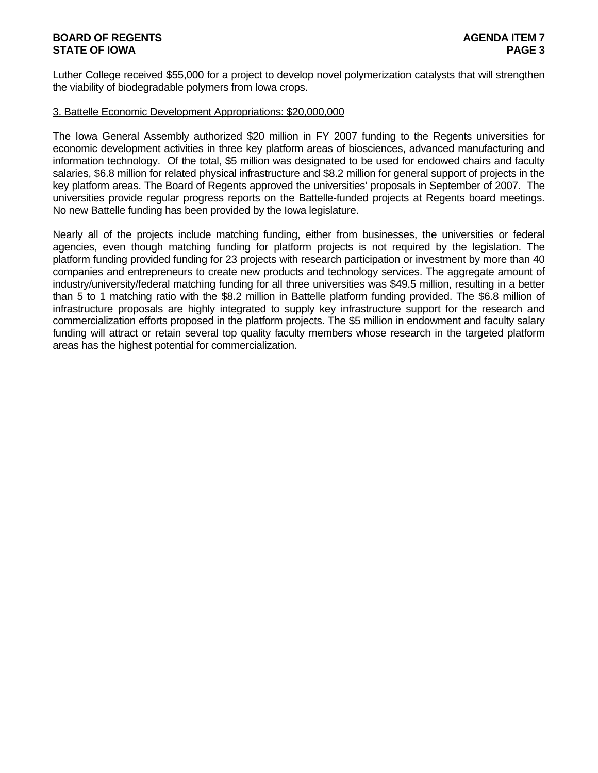## **BOARD OF REGENTS AGENTS** AGENERATION OF REGENERATION OF REGENERATION OF REGENERATION OF REGENERATION OF REGENERATION OF  $\sim$ **STATE OF IOWA** PAGE 3

Luther College received \$55,000 for a project to develop novel polymerization catalysts that will strengthen the viability of biodegradable polymers from Iowa crops.

#### 3. Battelle Economic Development Appropriations: \$20,000,000

The Iowa General Assembly authorized \$20 million in FY 2007 funding to the Regents universities for economic development activities in three key platform areas of biosciences, advanced manufacturing and information technology. Of the total, \$5 million was designated to be used for endowed chairs and faculty salaries, \$6.8 million for related physical infrastructure and \$8.2 million for general support of projects in the key platform areas. The Board of Regents approved the universities' proposals in September of 2007. The universities provide regular progress reports on the Battelle-funded projects at Regents board meetings. No new Battelle funding has been provided by the Iowa legislature.

Nearly all of the projects include matching funding, either from businesses, the universities or federal agencies, even though matching funding for platform projects is not required by the legislation. The platform funding provided funding for 23 projects with research participation or investment by more than 40 companies and entrepreneurs to create new products and technology services. The aggregate amount of industry/university/federal matching funding for all three universities was \$49.5 million, resulting in a better than 5 to 1 matching ratio with the \$8.2 million in Battelle platform funding provided. The \$6.8 million of infrastructure proposals are highly integrated to supply key infrastructure support for the research and commercialization efforts proposed in the platform projects. The \$5 million in endowment and faculty salary funding will attract or retain several top quality faculty members whose research in the targeted platform areas has the highest potential for commercialization.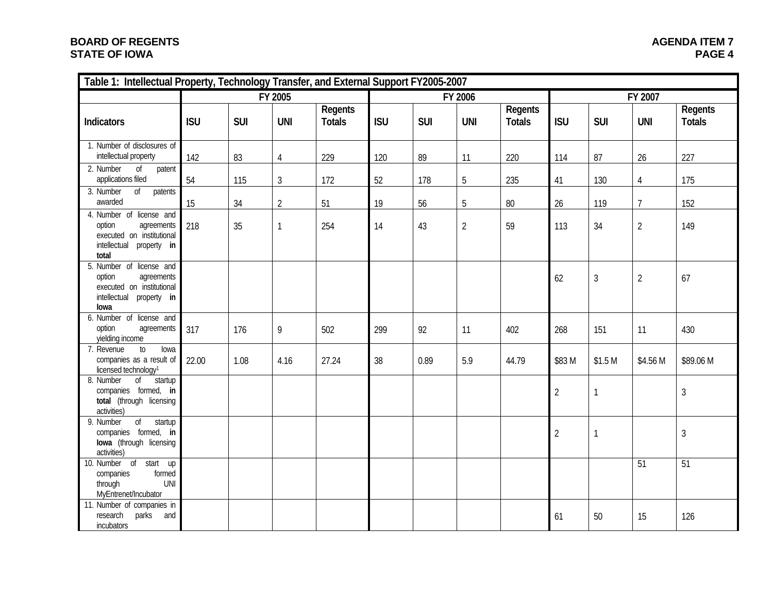## **BOARD OF REGENTS STATE OF IOWA**

| Table 1: Intellectual Property, Technology Transfer, and External Support FY2005-2007                                         |            |            |                |                          |            |            |                |                          |                |                    |                |                          |
|-------------------------------------------------------------------------------------------------------------------------------|------------|------------|----------------|--------------------------|------------|------------|----------------|--------------------------|----------------|--------------------|----------------|--------------------------|
|                                                                                                                               | FY 2005    |            |                | FY 2006                  |            |            |                | FY 2007                  |                |                    |                |                          |
| Indicators                                                                                                                    | <b>ISU</b> | <b>SUI</b> | <b>UNI</b>     | Regents<br><b>Totals</b> | <b>ISU</b> | <b>SUI</b> | <b>UNI</b>     | Regents<br><b>Totals</b> | <b>ISU</b>     | <b>SUI</b>         | <b>UNI</b>     | Regents<br><b>Totals</b> |
| 1. Number of disclosures of<br>intellectual property                                                                          | 142        | 83         | $\overline{4}$ | 229                      | 120        | 89         | 11             | 220                      | 114            | 87                 | 26             | 227                      |
| 2. Number<br>$\sigma$<br>patent<br>applications filed                                                                         | 54         | 115        | $\mathfrak{Z}$ | 172                      | 52         | 178        | 5              | 235                      | 41             | 130                | $\overline{4}$ | 175                      |
| 3. Number<br>$\overline{of}$<br>patents<br>awarded                                                                            | 15         | 34         | $\overline{2}$ | 51                       | 19         | 56         | 5              | $80\,$                   | 26             | 119                | $\overline{7}$ | 152                      |
| 4. Number of license and<br>option<br>agreements<br>executed on institutional<br>intellectual<br>property in<br>total         | 218        | 35         | $\mathbf{1}$   | 254                      | 14         | 43         | $\overline{2}$ | 59                       | 113            | 34                 | $\overline{2}$ | 149                      |
| 5. Number of license and<br>option<br>agreements<br>executed on institutional<br>intellectual property in<br>lowa             |            |            |                |                          |            |            |                |                          | 62             | $\mathfrak{Z}$     | $\overline{2}$ | 67                       |
| 6. Number of license and<br>option<br>agreements<br>yielding income                                                           | 317        | 176        | 9              | 502                      | 299        | 92         | 11             | 402                      | 268            | 151                | 11             | 430                      |
| to<br>7. Revenue<br>lowa<br>companies as a result of<br>licensed technology <sup>1</sup>                                      | 22.00      | 1.08       | 4.16           | 27.24                    | 38         | 0.89       | 5.9            | 44.79                    | \$83 M         | \$1.5 <sub>M</sub> | \$4.56 M       | \$89.06 M                |
| $\overline{of}$<br>8. Number<br>startup<br>companies formed, in<br>total (through licensing<br>activities)                    |            |            |                |                          |            |            |                |                          | $\overline{2}$ | $\mathbf{1}$       |                | $\overline{3}$           |
| $\sigma$<br>9. Number<br>startup<br>companies formed, in<br>lowa (through licensing<br>activities)                            |            |            |                |                          |            |            |                |                          | $\overline{2}$ | $\mathbf{1}$       |                | $\mathfrak{Z}$           |
| 0 <sup>f</sup><br>$\overline{\text{start}}$ up<br>10. Number<br>companies<br>formed<br>through<br>UNI<br>MyEntrenet/Incubator |            |            |                |                          |            |            |                |                          |                |                    | 51             | 51                       |
| 11. Number of companies in<br>research<br>parks<br>and<br>incubators                                                          |            |            |                |                          |            |            |                |                          | 61             | 50                 | 15             | 126                      |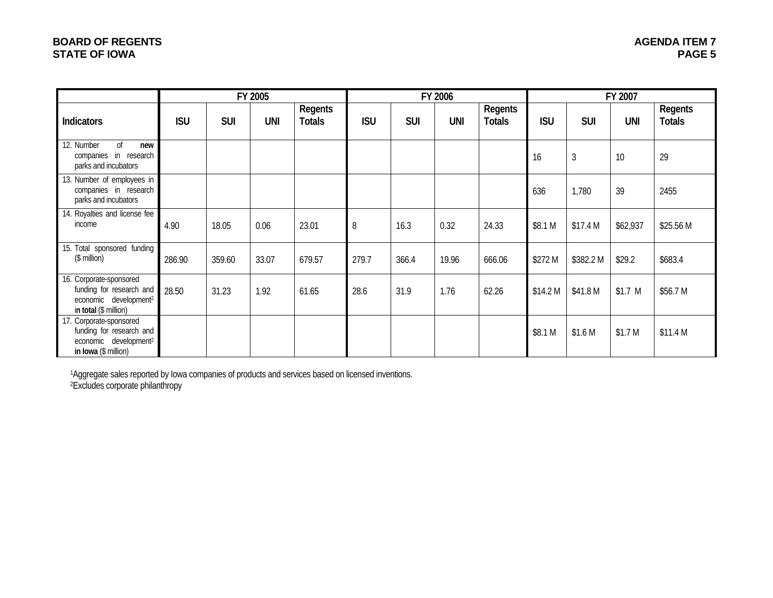# **BOARD OF REGENTS STATE OF IOWA**

|                                                                                                                   | FY 2005    |            |            |                          | FY 2006    |            |            |                          | FY 2007    |                |                    |                          |
|-------------------------------------------------------------------------------------------------------------------|------------|------------|------------|--------------------------|------------|------------|------------|--------------------------|------------|----------------|--------------------|--------------------------|
| Indicators                                                                                                        | <b>ISU</b> | <b>SUI</b> | <b>UNI</b> | Regents<br><b>Totals</b> | <b>ISU</b> | <b>SUI</b> | <b>UNI</b> | Regents<br><b>Totals</b> | <b>ISU</b> | <b>SUI</b>     | <b>UNI</b>         | Regents<br><b>Totals</b> |
| 12. Number<br><sub>of</sub><br>new<br>companies in research<br>parks and incubators                               |            |            |            |                          |            |            |            |                          | 16         | $\mathfrak{Z}$ | 10                 | 29                       |
| 13. Number of employees in<br>companies in research<br>parks and incubators                                       |            |            |            |                          |            |            |            |                          | 636        | 1,780          | 39                 | 2455                     |
| 14. Royalties and license fee<br>income                                                                           | 4.90       | 18.05      | 0.06       | 23.01                    | 8          | 16.3       | 0.32       | 24.33                    | \$8.1 M    | \$17.4 M       | \$62,937           | \$25.56 M                |
| 15. Total sponsored funding<br>$($$ million $)$                                                                   | 286.90     | 359.60     | 33.07      | 679.57                   | 279.7      | 366.4      | 19.96      | 666.06                   | \$272 M    | \$382.2 M      | \$29.2             | \$683.4                  |
| 16. Corporate-sponsored<br>funding for research and<br>economic development <sup>2</sup><br>in total (\$ million) | 28.50      | 31.23      | 1.92       | 61.65                    | 28.6       | 31.9       | 1.76       | 62.26                    | \$14.2 M   | \$41.8 M       | $$1.7$ M           | \$56.7 M                 |
| 17. Corporate-sponsored<br>funding for research and<br>economic development <sup>2</sup><br>in Iowa (\$ million)  |            |            |            |                          |            |            |            |                          | \$8.1 M    | \$1.6 M        | \$1.7 <sub>M</sub> | \$11.4 M                 |

1Aggregate sales reported by Iowa companies of products and services based on licensed inventions. 2Excludes corporate philanthropy